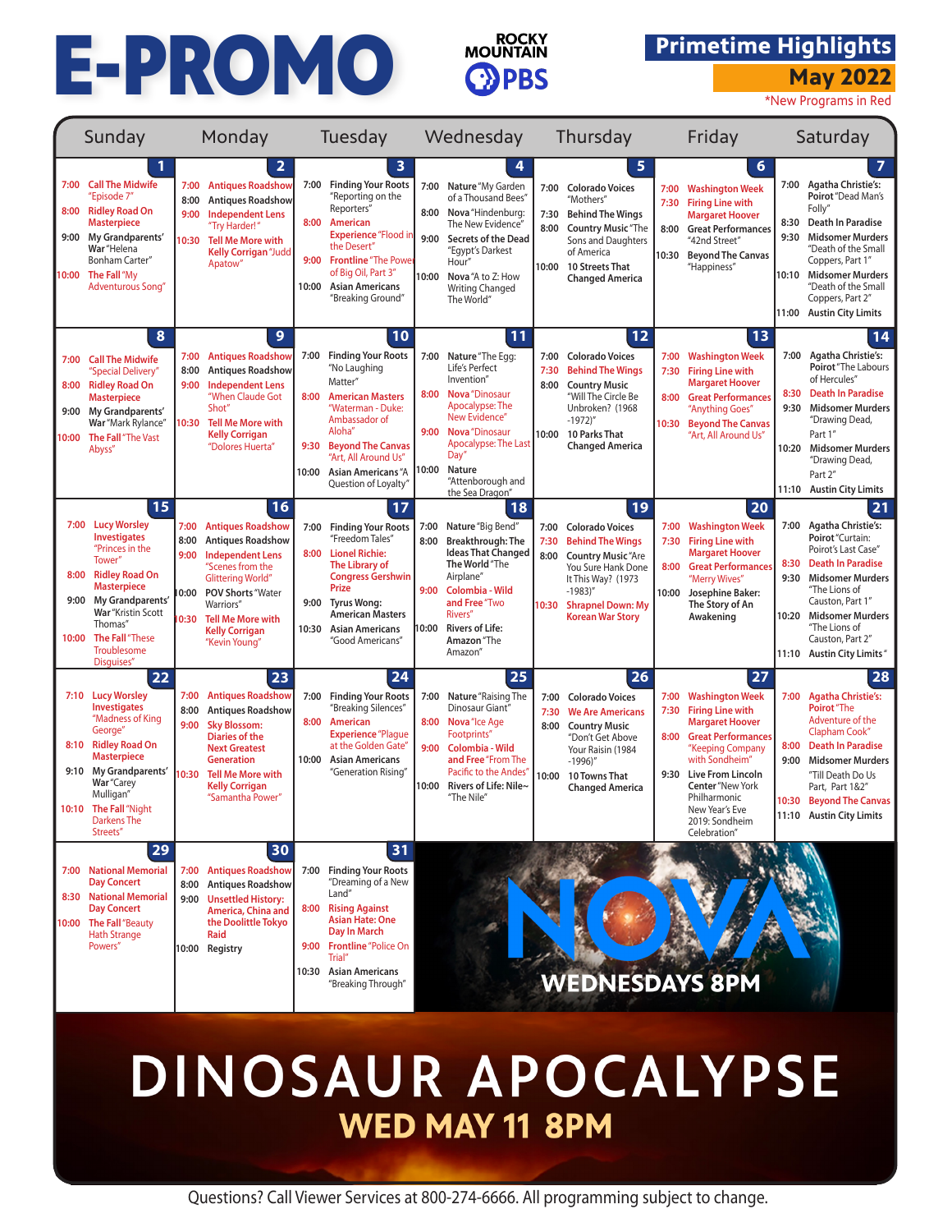## **MANUS MUSIC PROMO EXAMPLE THE PROMOVINTAIN** Primetime Highlights May 2022



## **Primetime Highlights**

|                               | Sunday                                                                                                                                                                                                                                           |                                      | Monday                                                                                                                                                                                                                                               |                               | Tuesday                                                                                                                                                                                                                                        |                               | Wednesday                                                                                                                                                                                                               |                               | Thursday                                                                                                                                                                                             |                               | Friday                                                                                                                                                                                                                                                                          | Saturday                      |                                                                                                                                                                                                                                                                        |  |  |
|-------------------------------|--------------------------------------------------------------------------------------------------------------------------------------------------------------------------------------------------------------------------------------------------|--------------------------------------|------------------------------------------------------------------------------------------------------------------------------------------------------------------------------------------------------------------------------------------------------|-------------------------------|------------------------------------------------------------------------------------------------------------------------------------------------------------------------------------------------------------------------------------------------|-------------------------------|-------------------------------------------------------------------------------------------------------------------------------------------------------------------------------------------------------------------------|-------------------------------|------------------------------------------------------------------------------------------------------------------------------------------------------------------------------------------------------|-------------------------------|---------------------------------------------------------------------------------------------------------------------------------------------------------------------------------------------------------------------------------------------------------------------------------|-------------------------------|------------------------------------------------------------------------------------------------------------------------------------------------------------------------------------------------------------------------------------------------------------------------|--|--|
| 7:00<br>8:00<br>9:00<br>10:00 | <b>Call The Midwife</b><br>"Episode 7"<br><b>Ridley Road On</b><br><b>Masterpiece</b><br>My Grandparents'<br>War "Helena<br>Bonham Carter"<br>The Fall "My<br><b>Adventurous Song"</b>                                                           | 7:00<br>8:00<br>9:00<br>10:30        | $\overline{\mathbf{2}}$<br><b>Antiques Roadshow</b><br><b>Antiques Roadshow</b><br><b>Independent Lens</b><br>"Try Harder!"<br><b>Tell Me More with</b><br><b>Kelly Corrigan</b> "Judd<br>Apatow"                                                    | 7:00<br>8:00<br>10:00         | 3<br><b>Finding Your Roots</b><br>"Reporting on the<br>Reporters"<br>American<br><b>Experience "Flood in</b><br>the Desert'<br>9:00 Frontline "The Power<br>of Big Oil, Part 3"<br><b>Asian Americans</b><br>"Breaking Ground"                 | 7:00<br>9:00                  | Nature "My Garden<br>of a Thousand Bees'<br>8:00 Nova "Hindenburg:<br>The New Evidence"<br><b>Secrets of the Dead</b><br>"Egypt's Darkest<br>Hour"<br>10:00 Nova "A to Z: How<br><b>Writing Changed</b><br>The World"   | 7:00<br>7:30<br>8:00<br>10:00 | 5<br><b>Colorado Voices</b><br>"Mothers"<br><b>Behind The Wings</b><br><b>Country Music</b> "The<br>Sons and Daughters<br>of America<br>10 Streets That<br><b>Changed America</b>                    | 7:00<br>7:30<br>8:00<br>10:30 | 6<br><b>Washington Week</b><br><b>Firing Line with</b><br><b>Margaret Hoover</b><br><b>Great Performances</b><br>"42nd Street"<br><b>Beyond The Canvas</b><br>"Happiness"                                                                                                       | 8:30<br>9:30<br>10:10         | $\overline{7}$<br>7:00 Agatha Christie's:<br>Poirot "Dead Man's<br>Folly"<br>Death In Paradise<br><b>Midsomer Murders</b><br>"Death of the Small<br>Coppers, Part 1"<br><b>Midsomer Murders</b><br>"Death of the Small<br>Coppers, Part 2"<br>11:00 Austin City Limits |  |  |
| 7:00<br>8:00<br>9:00<br>10:00 | 8<br><b>Call The Midwife</b><br>"Special Delivery"<br><b>Ridley Road On</b><br><b>Masterpiece</b><br>My Grandparents'<br>War "Mark Rylance"<br>The Fall "The Vast<br>Abyss"                                                                      | 7:00<br>8:00<br>9:00<br>10:30        | $\mathbf{9}$<br><b>Antiques Roadshow</b><br><b>Antiques Roadshow</b><br><b>Independent Lens</b><br>"When Claude Got<br>Shot"<br><b>Tell Me More with</b><br><b>Kelly Corrigan</b><br>"Dolores Huerta"                                                | 7:00<br>8:00<br>9:30<br>10:00 | 10<br><b>Finding Your Roots</b><br>"No Laughing<br>Matter"<br><b>American Masters</b><br>"Waterman - Duke:<br>Ambassador of<br>Aloha"<br><b>Beyond The Canvas</b><br>"Art, All Around Us"<br><b>Asian Americans "A</b><br>Question of Loyalty" | 7:00<br>8:00<br>9:00<br>10:00 | 11<br>Nature "The Egg:<br>Life's Perfect<br>Invention"<br>Nova "Dinosaur<br>Apocalypse: The<br>New Evidence"<br>Nova "Dinosaur<br>Apocalypse: The Last<br>Day'<br>Nature<br>"Attenborough and<br>the Sea Dragon"        | 7:00<br>7:30<br>8:00<br>10:00 | 12<br><b>Colorado Voices</b><br><b>Behind The Wings</b><br><b>Country Music</b><br>"Will The Circle Be<br>Unbroken? (1968<br>$-1972$ )"<br>10 Parks That<br><b>Changed America</b>                   | 7:00<br>7:30<br>8:00<br>10:30 | 13<br><b>Washington Week</b><br><b>Firing Line with</b><br><b>Margaret Hoover</b><br><b>Great Performances</b><br>"Anything Goes"<br><b>Beyond The Canvas</b><br>"Art, All Around Us"                                                                                           | 7:00<br>8:30<br>9:30<br>10:20 | 14<br><b>Agatha Christie's:</b><br>Poirot "The Labours<br>of Hercules"<br><b>Death In Paradise</b><br><b>Midsomer Murders</b><br>"Drawing Dead,<br>Part 1"<br><b>Midsomer Murders</b><br>"Drawing Dead,<br>Part 2"<br>11:10 Austin City Limits                         |  |  |
| 7:00<br>8:00<br>9:00<br>10:00 | 15<br><b>Lucy Worsley</b><br><b>Investigates</b><br>"Princes in the<br>Tower"<br><b>Ridley Road On</b><br><b>Masterpiece</b><br>My Grandparents'<br>War "Kristin Scott<br>Thomas"<br>The Fall "These<br>Troublesome                              | 7:00<br>8:00<br>9:00<br>0:00<br>0:30 | 16<br><b>Antiques Roadshow</b><br><b>Antiques Roadshow</b><br><b>Independent Lens</b><br>"Scenes from the<br><b>Glittering World'</b><br><b>POV Shorts "Water</b><br>Warriors"<br><b>Tell Me More with</b><br><b>Kelly Corrigan</b><br>"Kevin Young" | 8:00<br>10:30                 | 17<br>7:00 Finding Your Roots<br>"Freedom Tales"<br><b>Lionel Richie:</b><br>The Library of<br><b>Congress Gershwin</b><br>Prize<br>9:00 Tyrus Wong:<br><b>American Masters</b><br><b>Asian Americans</b><br>"Good Americans"                  | 7:00<br>8:00<br>9:00<br>0:00  | 18<br>Nature "Big Bend"<br>Breakthrough: The<br><b>Ideas That Changed</b><br>The World "The<br>Airplane"<br>Colombia - Wild<br>and Free "Two<br>Rivers"<br><b>Rivers of Life:</b><br>Amazon "The<br>Amazon <sup>®</sup> | 7:00<br>7:30<br>8:00<br>10:30 | 19<br><b>Colorado Voices</b><br><b>Behind The Wings</b><br><b>Country Music</b> "Are<br>You Sure Hank Done<br>It This Way? (1973<br>$-1983$ "<br><b>Shrapnel Down: My</b><br><b>Korean War Story</b> | 7:00<br>7:30<br>8:00<br>10:00 | 20<br><b>Washington Week</b><br><b>Firing Line with</b><br><b>Margaret Hoover</b><br><b>Great Performances</b><br>"Merry Wives"<br>Josephine Baker:<br>The Story of An<br>Awakening                                                                                             | 8:30<br>9:30                  | 21<br>7:00 Agatha Christie's:<br>Poirot "Curtain:<br>Poirot's Last Case"<br>Death In Paradise<br><b>Midsomer Murders</b><br>"The Lions of<br>Causton, Part 1"<br>10:20 Midsomer Murders<br>"The Lions of<br>Causton, Part 2"<br>11:10 Austin City Limits"              |  |  |
|                               | Disguises"<br>22<br>7:10 Lucy Worsley<br><b>Investigates</b><br>"Madness of King<br>George"<br>8:10 Ridley Road On<br><b>Masterpiece</b><br>9:10 My Grandparents'<br>War "Carey<br>Mulligan"<br>10:10 The Fall "Night<br>Darkens The<br>Streets" | 7:00<br>8:00<br>9:00<br>0:30         | 23<br><b>Antiques Roadshow</b><br><b>Antiques Roadshow</b><br><b>Sky Blossom:</b><br><b>Diaries of the</b><br><b>Next Greatest</b><br><b>Generation</b><br><b>Tell Me More with</b><br><b>Kelly Corrigan</b><br>"Samantha Power"                     | 7:00<br>8:00<br>10:00         | 24<br><b>Finding Your Roots</b><br>"Breaking Silences"<br>American<br><b>Experience</b> "Plaque<br>at the Golden Gate"<br><b>Asian Americans</b><br>"Generation Rising"                                                                        | 8:00<br>9:00                  | 25<br>7:00 Nature "Raising The<br>Dinosaur Giant'<br>Nova "Ice Age<br>Footprints"<br>Colombia - Wild<br>and Free "From The<br>Pacific to the Andes<br>10:00 Rivers of Life: Nile~<br>"The Nile'                         | 7:00<br>7:30<br>8:00<br>10:00 | 26<br><b>Colorado Voices</b><br><b>We Are Americans</b><br><b>Country Music</b><br>"Don't Get Above<br>Your Raisin (1984<br>$-1996$ )"<br>10 Towns That<br><b>Changed America</b>                    | 7:00<br>7:30<br>8:00<br>9:30  | 27<br><b>Washington Week</b><br><b>Firing Line with</b><br><b>Margaret Hoover</b><br><b>Great Performances</b><br>"Keeping Company<br>with Sondheim'<br><b>Live From Lincoln</b><br><b>Center</b> "New York<br>Philharmonic<br>New Year's Eve<br>2019: Sondheim<br>Celebration" | 7:00<br>8:00                  | 28<br><b>Agatha Christie's:</b><br>Poirot "The<br>Adventure of the<br><b>Clapham Cook"</b><br><b>Death In Paradise</b><br>9:00 Midsomer Murders<br>"Till Death Do Us<br>Part, Part 1&2"<br>10:30 Beyond The Canvas<br>11:10 Austin City Limits                         |  |  |
| 8:30                          | 29<br>7:00 National Memorial<br><b>Day Concert</b><br><b>National Memorial</b><br><b>Day Concert</b><br>10:00 The Fall "Beauty<br><b>Hath Strange</b><br>Powers"                                                                                 | 7:00<br>8:00<br>9:00                 | 30<br><b>Antiques Roadshow</b><br><b>Antiques Roadshow</b><br><b>Unsettled History:</b><br>America, China and<br>the Doolittle Tokvo<br>Raid<br>10:00 Registry                                                                                       | 7:00<br>8:00<br>9:00<br>10:30 | 31<br><b>Finding Your Roots</b><br>"Dreaming of a New<br>Land"<br><b>Rising Against</b><br><b>Asian Hate: One</b><br>Day In March<br><b>Frontline</b> "Police On<br>Trial"<br><b>Asian Americans</b><br>"Breaking Through"                     |                               |                                                                                                                                                                                                                         |                               | <b>WEDNESDAYS 8PM</b>                                                                                                                                                                                |                               |                                                                                                                                                                                                                                                                                 |                               |                                                                                                                                                                                                                                                                        |  |  |

## DINOSAUR APOCALYPSE **WED MAY 11 8PM**

Questions? Call Viewer Services at 800-274-6666. All programming subject to change.